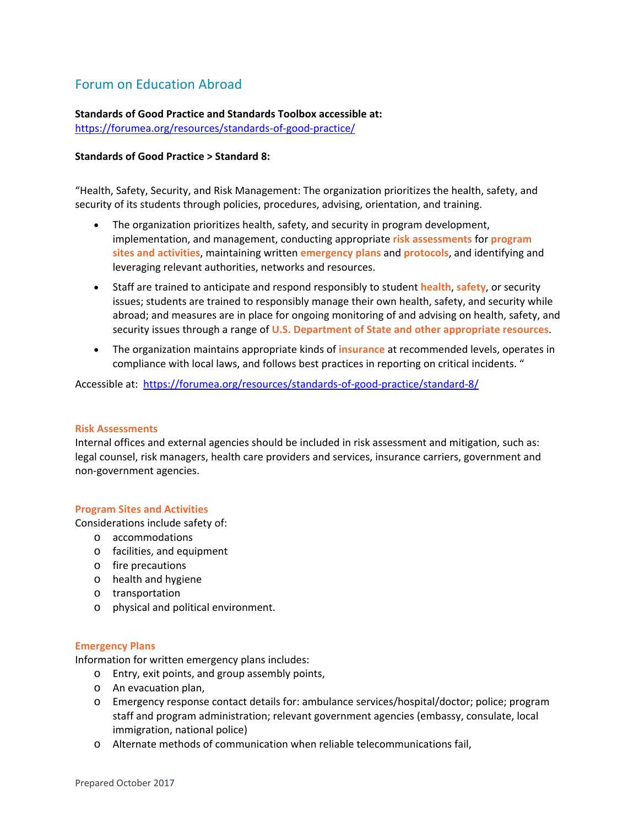# Forum on Education Abroad

**Standards of Good Practice and Standards Toolbox accessible at:**  https://forumea.org/resources/standards‐of‐good‐practice/

## **Standards of Good Practice > Standard 8:**

"Health, Safety, Security, and Risk Management: The organization prioritizes the health, safety, and security of its students through policies, procedures, advising, orientation, and training.

- The organization prioritizes health, safety, and security in program development, implementation, and management, conducting appropriate **risk assessments** for **program sites and activities**, maintaining written **emergency plans** and **protocols**, and identifying and leveraging relevant authorities, networks and resources.
- Staff are trained to anticipate and respond responsibly to student **health**, **safety**, or security issues; students are trained to responsibly manage their own health, safety, and security while abroad; and measures are in place for ongoing monitoring of and advising on health, safety, and security issues through a range of **U.S. Department of State and other appropriate resources**.
- The organization maintains appropriate kinds of **insurance** at recommended levels, operates in compliance with local laws, and follows best practices in reporting on critical incidents. "

Accessible at: https://forumea.org/resources/standards‐of‐good‐practice/standard‐8/

## **Risk Assessments**

Internal offices and external agencies should be included in risk assessment and mitigation, such as: legal counsel, risk managers, health care providers and services, insurance carriers, government and non‐government agencies.

## **Program Sites and Activities**

Considerations include safety of:

- o accommodations
- o facilities, and equipment
- o fire precautions
- o health and hygiene
- o transportation
- o physical and political environment.

## **Emergency Plans**

Information for written emergency plans includes:

- o Entry, exit points, and group assembly points,
- o An evacuation plan,
- o Emergency response contact details for: ambulance services/hospital/doctor; police; program staff and program administration; relevant government agencies (embassy, consulate, local immigration, national police)
- o Alternate methods of communication when reliable telecommunications fail,